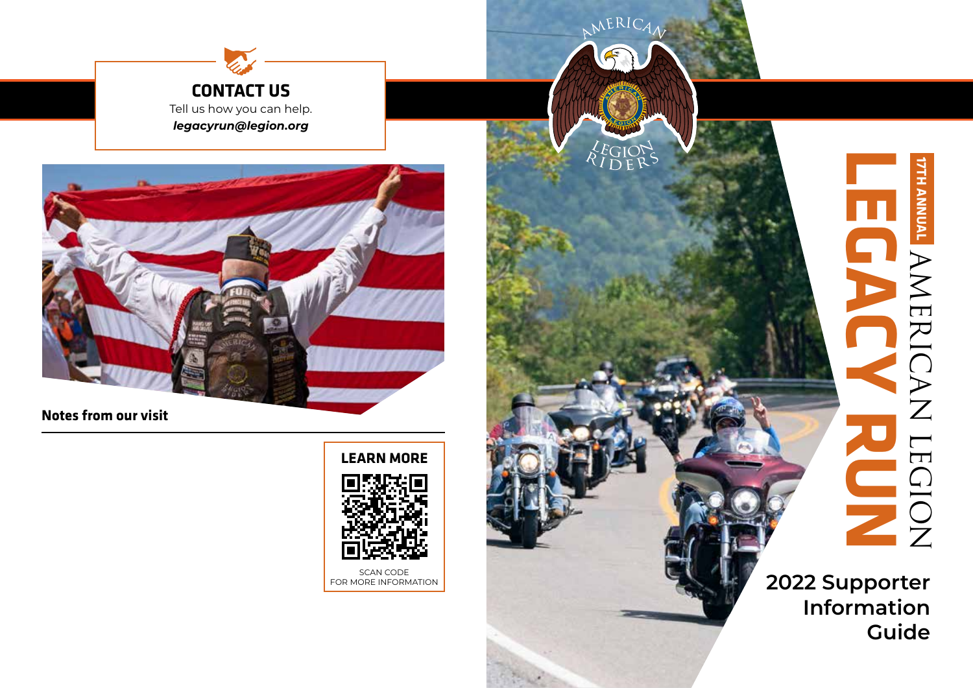



**Notes from our visit**

**LEARN MORE**

NERIC



FOR MORE INFORMATION

**LEGACY RUN 17TH ANNUALTVNNNV** HANERICAN LEGION AMERICAN LEGION

**2022 Supporter Information Guide**